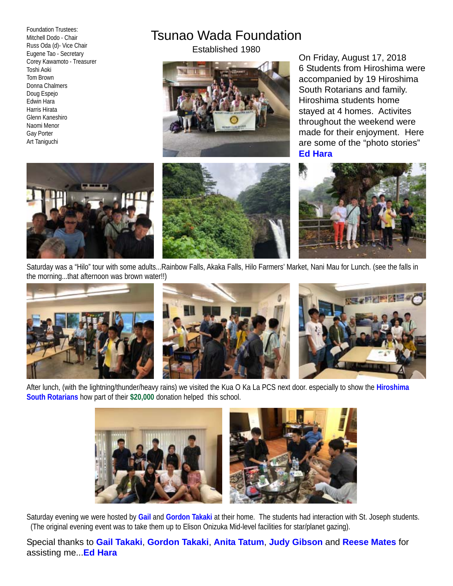Foundation Trustees: Mitchell Dodo - Chair Russ Oda (d)- Vice Chair Eugene Tao - Secretary Corey Kawamoto - Treasurer Toshi Aoki Tom Brown Donna Chalmers Doug Espejo Edwin Hara Harris Hirata Glenn Kaneshiro Naomi Menor Gay Porter Art Taniguchi

## Tsunao Wada Foundation

Established 1980



On Friday, August 17, 2018 6 Students from Hiroshima were accompanied by 19 Hiroshima South Rotarians and family. Hiroshima students home stayed at 4 homes. Activites throughout the weekend were made for their enjoyment. Here are some of the "photo stories" **Ed Hara**







Saturday was a "Hilo" tour with some adults...Rainbow Falls, Akaka Falls, Hilo Farmers' Market, Nani Mau for Lunch. (see the falls in the morning...that afternoon was brown water!!)







After lunch, (with the lightning/thunder/heavy rains) we visited the Kua O Ka La PCS next door. especially to show the **Hiroshima South Rotarians** how part of their **\$20,000** donation helped this school.



Saturday evening we were hosted by **Gail** and **Gordon Takaki** at their home. The students had interaction with St. Joseph students. (The original evening event was to take them up to Elison Onizuka Mid-level facilities for star/planet gazing).

Special thanks to **Gail Takaki**, **Gordon Takaki**, **Anita Tatum**, **Judy Gibson** and **Reese Mates** for assisting me...**Ed Hara**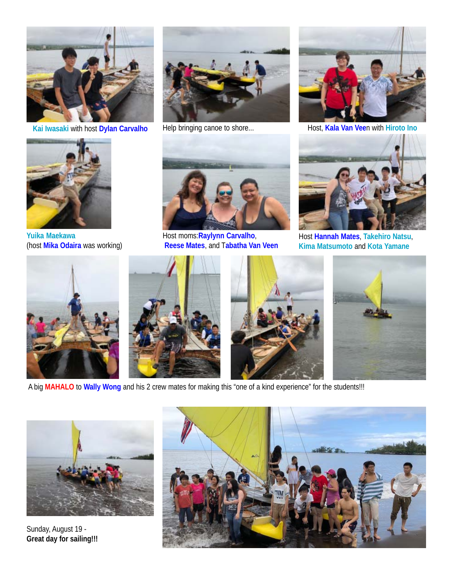



**Yuika Maekawa** (host **Mika Odaira** was working)





Host moms:**Raylynn Carvalho**,  **Reese Mates**, and T**abatha Van Veen**



**Kai Iwasaki with host Dylan Carvalho** Help bringing canoe to shore... Host, Kala Van Veen with Hiroto Ino



Host **Hannah Mates**, **Takehiro Natsu**, **Kima Matsumoto** and **Kota Yamane**







A big **MAHALO** to **Wally Wong** and his 2 crew mates for making this "one of a kind experience" for the students!!!



Sunday, August 19 - **Great day for sailing!!!**

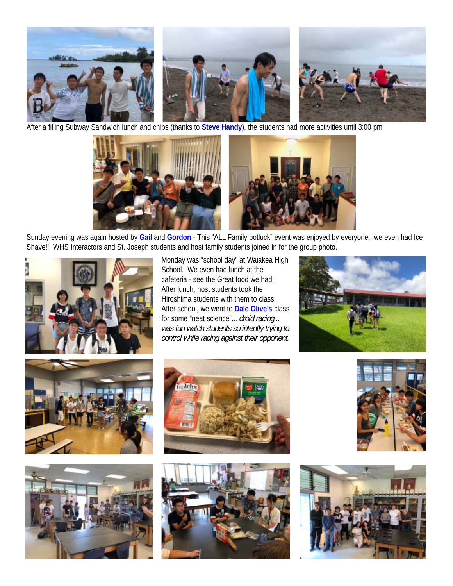

After a filling Subway Sandwich lunch and chips (thanks to **Steve Handy**), the students had more activities until 3:00 pm



Sunday evening was again hosted by **Gail** and **Gordon** - This "ALL Family potluck" event was enjoyed by everyone...we even had Ice Shave!! WHS Interactors and St. Joseph students and host family students joined in for the group photo.



Monday was "school day" at Waiakea High School. We even had lunch at the cafeteria - see the Great food we had!! After lunch, host students took the Hiroshima students with them to class. After school, we went to **Dale Olive's** class for some "neat science"... *droid racing... was fun watch students so intently trying to control while racing against their opponent.*